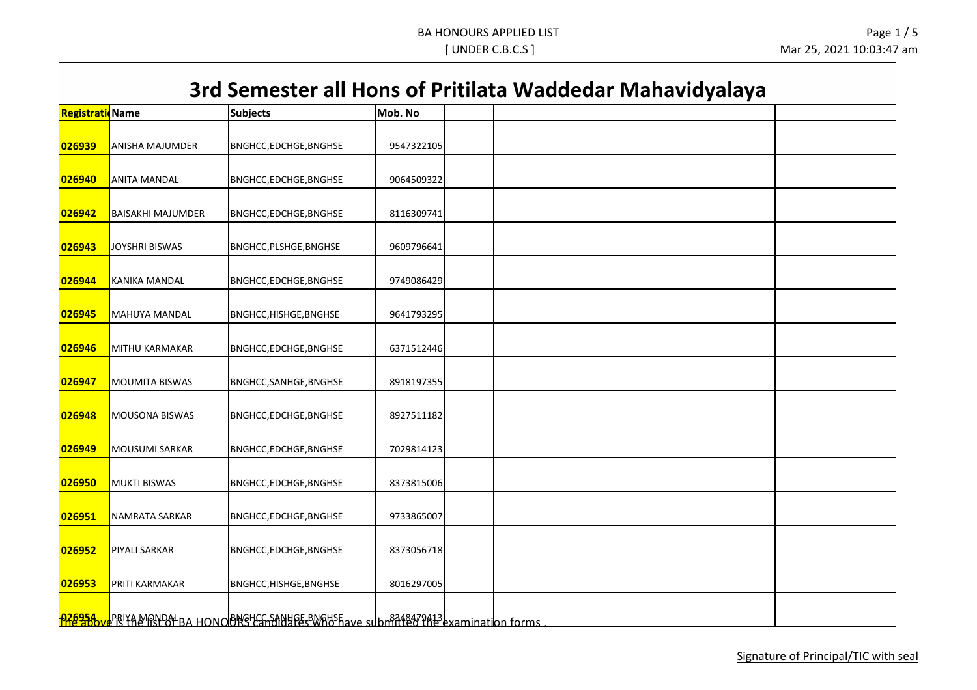# **Registration No** *Nobel* **Europe Subjects and Mob. No analysis of Mob. No analysis of Mob. No**  ANISHA MAJUMDER BNGHCC,EDCHGE,BNGHSE 9547322105 ANITA MANDAL BNGHCC,EDCHGE,BNGHSE 9064509322 BAISAKHI MAJUMDER BNGHCC,EDCHGE,BNGHSE 8116309741 JOYSHRI BISWAS BNGHCC,PLSHGE,BNGHSE 19609796641 KANIKA MANDAL BNGHCC,EDCHGE,BNGHSE 19749086429 MAHUYA MANDAL **BNGHCC,HISHGE,BNGHSE** 19641793295 **3rd Semester all Hons of Pritilata Waddedar Mahavidyalaya** MITHU KARMAKAR BNGHCC,EDCHGE,BNGHSE | 6371512446 MOUMITA BISWAS BNGHCC,SANHGE,BNGHSE | 8918197355 MOUSONA BISWAS BNGHCC,EDCHGE,BNGHSE | 8927511182 MOUSUMI SARKAR BNGHCC,EDCHGE,BNGHSE 7029814123 MUKTI BISWAS BNGHCC,EDCHGE,BNGHSE 8373815006 NAMRATA SARKAR BNGHCC,EDCHGE,BNGHSE 9733865007 PIYALI SARKAR BNGHCC,EDCHGE,BNGHSE 8373056718 PRITI KARMAKAR BNGHCC,HISHGE,BNGHSE 8016297005

<mark>026954 W</mark>PRIYA MONDAL BA HONOOBNGHSGANHGEGWARSE ave submitted that list of promotion forms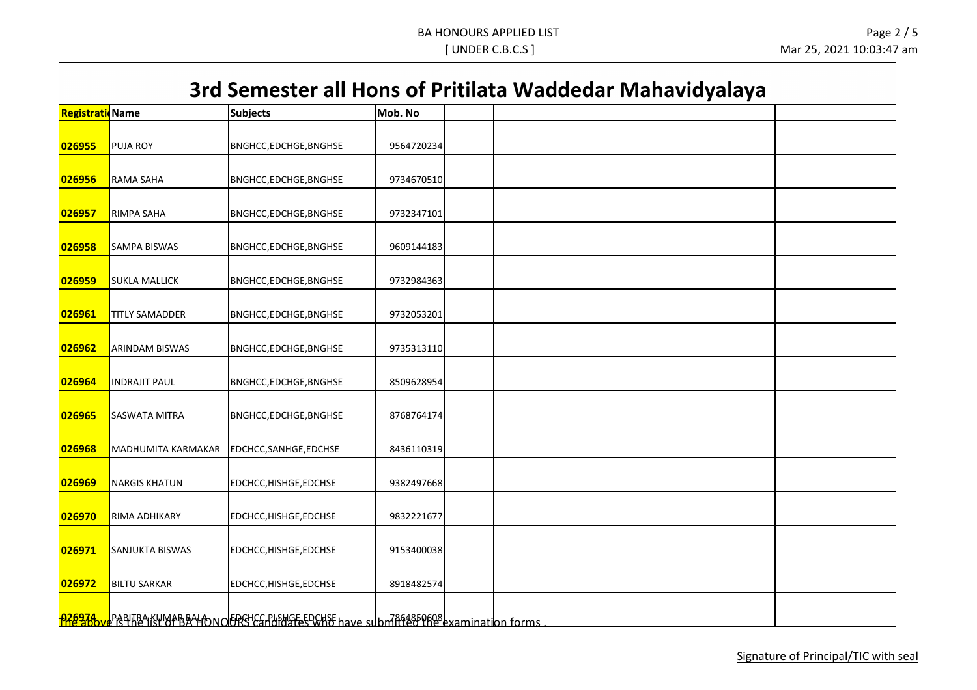## **Registration No Name Subjects Mob. No 3rd Semester all Hons of Pritilata Waddedar Mahavidyalaya 026955** PUJA ROY BNGHCC,EDCHGE,BNGHSE 9564720234 **026956** RAMA SAHA BNGHCC,EDCHGE,BNGHSE 9734670510 **026957** RIMPA SAHA BNGHCC,EDCHGE,BNGHSE 9732347101 **026958** SAMPA BISWAS BNGHCC,EDCHGE,BNGHSE 9609144183 **026959 SUKLA MALLICK BINGHCC,EDCHGE,BNGHSE 19732984363 026961** TITLY SAMADDER BNGHCC,EDCHGE,BNGHSE 9732053201 **026962** ARINDAM BISWAS BNGHCC,EDCHGE,BNGHSE | 9735313110 **026964** INDRAJIT PAUL BNGHCC,EDCHGE,BNGHSE | 8509628954 **026965** SASWATA MITRA BNGHCC,EDCHGE,BNGHSE | 8768764174 **026968** MADHUMITA KARMAKAR EDCHCC,SANHGE,EDCHSE 8436110319 **026969** NARGIS KHATUN EDCHCC,HISHGE,EDCHSE 9382497668 **026970** RIMA ADHIKARY EDCHCC,HISHGE,EDCHSE 9832221677 **026971** SANJUKTA BISWAS EDCHCC,HISHGE,EDCHSE 9153400038 **026972** BILTU SARKAR EDCHCC,HISHGE,EDCHSE 8918482574 **026974 P**ABITRA KUMAR BALA NOFFREC, PLSHGE, EDCHSE have submitted the above examination forms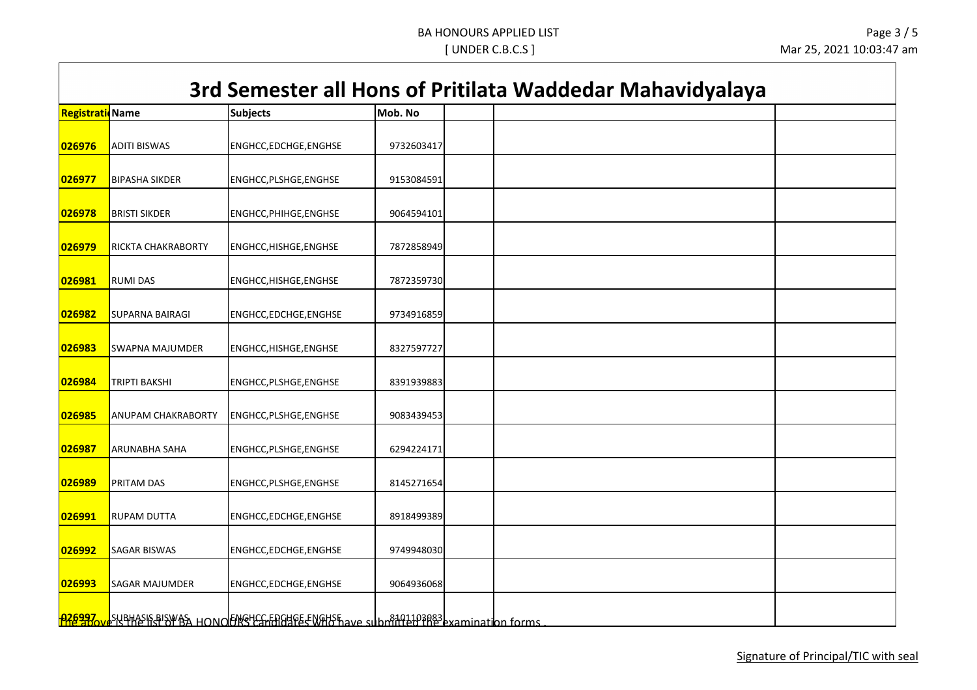### **3rd Semester all Hons of Pritilata Waddedar Mahavidyalaya**

| <b>Registrati</b> Name |                        | <b>Subjects</b>                                                                             | Mob. No    |  |
|------------------------|------------------------|---------------------------------------------------------------------------------------------|------------|--|
| 026976                 | <b>ADITI BISWAS</b>    | ENGHCC, EDCHGE, ENGHSE                                                                      | 9732603417 |  |
| 026977                 | <b>BIPASHA SIKDER</b>  | ENGHCC, PLSHGE, ENGHSE                                                                      | 9153084591 |  |
| 026978                 | <b>BRISTI SIKDER</b>   | ENGHCC, PHIHGE, ENGHSE                                                                      | 9064594101 |  |
| 026979                 | RICKTA CHAKRABORTY     | ENGHCC, HISHGE, ENGHSE                                                                      | 7872858949 |  |
| 026981                 | <b>RUMI DAS</b>        | ENGHCC, HISHGE, ENGHSE                                                                      | 7872359730 |  |
| 026982                 | <b>SUPARNA BAIRAGI</b> | ENGHCC, EDCHGE, ENGHSE                                                                      | 9734916859 |  |
| 026983                 | <b>SWAPNA MAJUMDER</b> | ENGHCC, HISHGE, ENGHSE                                                                      | 8327597727 |  |
| 026984                 | TRIPTI BAKSHI          | ENGHCC, PLSHGE, ENGHSE                                                                      | 8391939883 |  |
| 026985                 | ANUPAM CHAKRABORTY     | ENGHCC, PLSHGE, ENGHSE                                                                      | 9083439453 |  |
| 026987                 | ARUNABHA SAHA          | ENGHCC, PLSHGE, ENGHSE                                                                      | 6294224171 |  |
| 026989                 | PRITAM DAS             | ENGHCC, PLSHGE, ENGHSE                                                                      | 8145271654 |  |
| 026991                 | <b>RUPAM DUTTA</b>     | ENGHCC, EDCHGE, ENGHSE                                                                      | 8918499389 |  |
| 026992                 | <b>SAGAR BISWAS</b>    | ENGHCC,EDCHGE,ENGHSE                                                                        | 9749948030 |  |
| 026993                 | SAGAR MAJUMDER         | ENGHCC,EDCHGE,ENGHSE                                                                        | 9064936068 |  |
|                        |                        | <b>026997 exphasis playes HONOFIES Candidate ENGHS</b> have submitted the examination forms |            |  |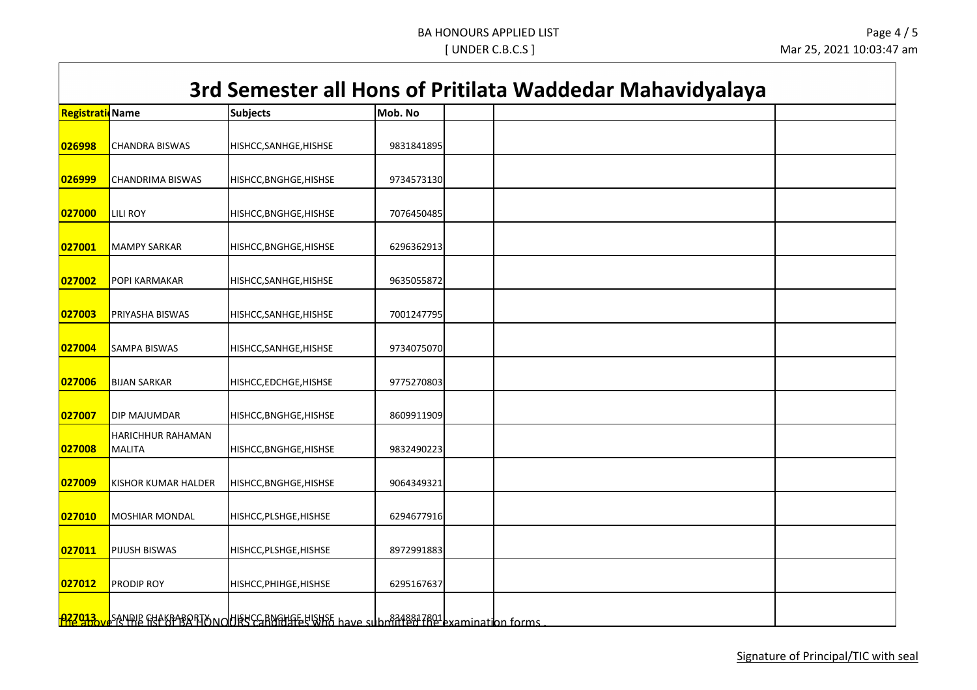### **3rd Semester all Hons of Pritilata Waddedar Mahavidyalaya**

| Registrati | idName                     | <b>Subjects</b>                                                                              | Mob. No    |  |
|------------|----------------------------|----------------------------------------------------------------------------------------------|------------|--|
|            |                            |                                                                                              |            |  |
| 026998     | <b>CHANDRA BISWAS</b>      | HISHCC, SANHGE, HISHSE                                                                       | 9831841895 |  |
|            |                            |                                                                                              |            |  |
| 026999     | <b>CHANDRIMA BISWAS</b>    | HISHCC, BNGHGE, HISHSE                                                                       | 9734573130 |  |
|            |                            |                                                                                              |            |  |
| 027000     | <b>LILI ROY</b>            | HISHCC, BNGHGE, HISHSE                                                                       | 7076450485 |  |
|            |                            |                                                                                              |            |  |
| 027001     | <b>MAMPY SARKAR</b>        | HISHCC, BNGHGE, HISHSE                                                                       | 6296362913 |  |
|            |                            |                                                                                              |            |  |
| 027002     | POPI KARMAKAR              | HISHCC, SANHGE, HISHSE                                                                       | 9635055872 |  |
| 027003     | PRIYASHA BISWAS            |                                                                                              | 7001247795 |  |
|            |                            | HISHCC, SANHGE, HISHSE                                                                       |            |  |
| 027004     | <b>SAMPA BISWAS</b>        | HISHCC, SANHGE, HISHSE                                                                       | 9734075070 |  |
|            |                            |                                                                                              |            |  |
| 027006     | <b>BIJAN SARKAR</b>        | HISHCC, EDCHGE, HISHSE                                                                       | 9775270803 |  |
|            |                            |                                                                                              |            |  |
| 027007     | <b>DIP MAJUMDAR</b>        | HISHCC, BNGHGE, HISHSE                                                                       | 8609911909 |  |
|            | HARICHHUR RAHAMAN          |                                                                                              |            |  |
| 027008     | <b>MALITA</b>              | HISHCC, BNGHGE, HISHSE                                                                       | 9832490223 |  |
|            |                            |                                                                                              |            |  |
| 027009     | <b>KISHOR KUMAR HALDER</b> | HISHCC, BNGHGE, HISHSE                                                                       | 9064349321 |  |
|            |                            |                                                                                              |            |  |
| 027010     | MOSHIAR MONDAL             | HISHCC, PLSHGE, HISHSE                                                                       | 6294677916 |  |
|            |                            |                                                                                              |            |  |
| 027011     | PIJUSH BISWAS              | HISHCC, PLSHGE, HISHSE                                                                       | 8972991883 |  |
| 027012     | PRODIP ROY                 |                                                                                              |            |  |
|            |                            | HISHCC, PHIHGE, HISHSE                                                                       | 6295167637 |  |
|            |                            |                                                                                              |            |  |
|            |                            | PRZ913 review SANDIE FILAKFABORIAN OUTSEC-BNGHGE-USHSE have submitted TRQ1 examination forms |            |  |